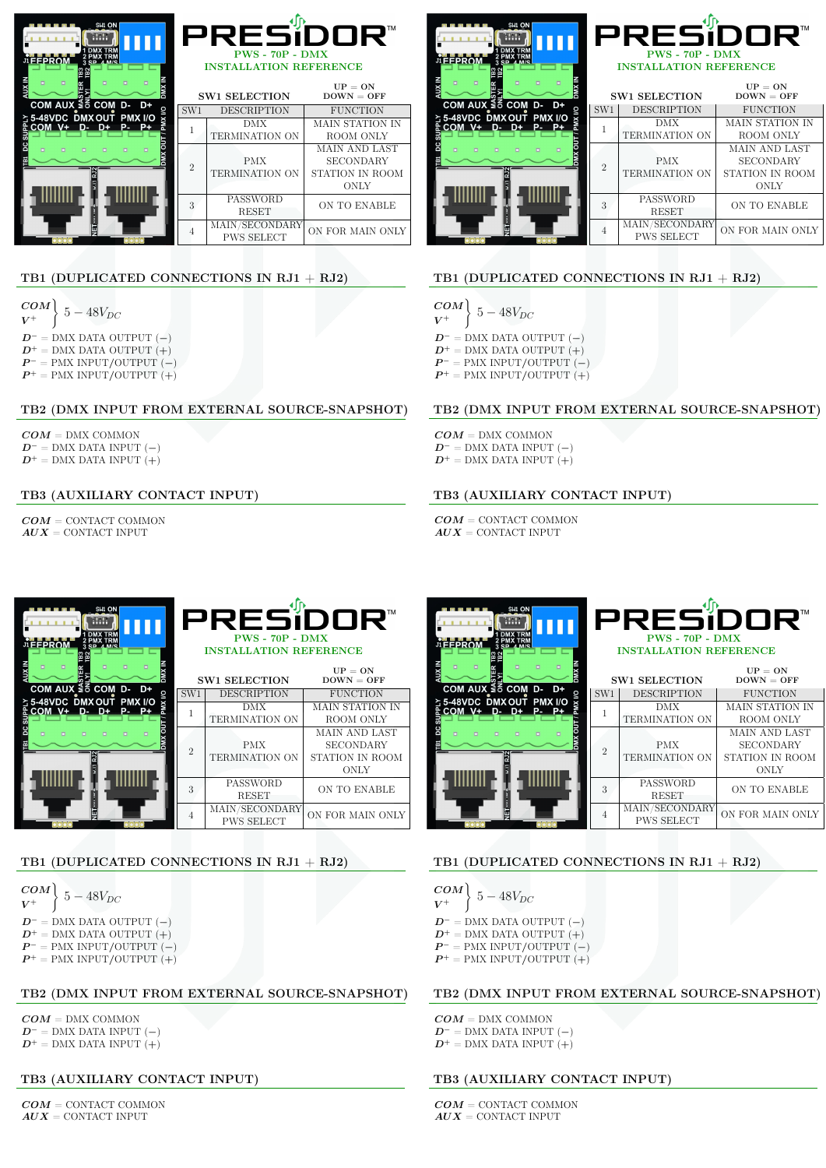| SW1 ON<br><b>FFPROM</b>                                      | PRESiDOR™<br>$PWS - 70P - DMX$<br><b>INSTALLATION REFERENCE</b> |                                     |                           |
|--------------------------------------------------------------|-----------------------------------------------------------------|-------------------------------------|---------------------------|
|                                                              |                                                                 | <b>SW1 SELECTION</b>                | $UP = ON$<br>$DOWN = OFF$ |
| COM AUX ≦ 6 COM D-<br>D+                                     | SW1                                                             | <b>DESCRIPTION</b>                  | <b>FUNCTION</b>           |
| ≿ 5-48VDC DMX OUT PMX I/O<br>COM V+<br>P-<br>$D - D +$<br>P+ |                                                                 | DMX                                 | MAIN STATION IN           |
|                                                              |                                                                 | TERMINATION ON                      | ROOM ONLY                 |
|                                                              |                                                                 |                                     | MAIN AND LAST             |
|                                                              | $\mathfrak{D}$                                                  | <b>PMX</b>                          | <b>SECONDARY</b>          |
|                                                              |                                                                 | <b>TERMINATION ON</b>               | STATION IN ROOM           |
|                                                              |                                                                 |                                     | <b>ONLY</b>               |
|                                                              | 3                                                               | PASSWORD<br><b>RESET</b>            | ON TO ENABLE              |
|                                                              | 4                                                               | MAIN/SECONDARY<br><b>PWS SELECT</b> | ON FOR MAIN ONLY          |

## TB1 (DUPLICATED CONNECTIONS IN RJ1 + RJ2)

$$
\begin{array}{l}\nCOM \\
V^+ \n\end{array}\n\bigg\} = 48V_{DC}
$$
\n
$$
D^- =
$$
 DMX DATA OUTPUT (-)\n
$$
D^+ =
$$
 DMX DATA OUTPUT (+)\n
$$
P^- =
$$
 PMX INPUT/OUTPUT (-)\n
$$
P^+ =
$$
 PMX INPUT/OUTPUT (+)

#### TB2 (DMX INPUT FROM EXTERNAL SOURCE-SNAPSHOT)

 $COM =$  DMX COMMON  $D^-$  = DMX DATA INPUT (−)  $D^+$  = DMX DATA INPUT  $(+)$ 

## TB3 (AUXILIARY CONTACT INPUT)

 $COM =$  CONTACT COMMON  $AUX =$  CONTACT INPUT